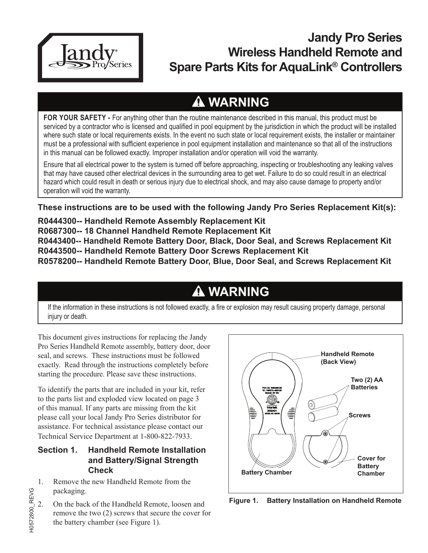

## **Jandy Pro Series Wireless Handheld Remote and Spare Parts Kits for AquaLink® Controllers**

# **WARNING**

**FOR YOUR SAFETY -** For anything other than the routine maintenance described in this manual, this product must be serviced by a contractor who is licensed and qualified in pool equipment by the jurisdiction in which the product will be installed where such state or local requirements exists. In the event no such state or local requirement exists, the installer or maintainer must be a professional with sufficient experience in pool equipment installation and maintenance so that all of the instructions in this manual can be followed exactly. Improper installation and/or operation will void the warranty.

Ensure that all electrical power to the system is turned off before approaching, inspecting or troubleshooting any leaking valves that may have caused other electrical devices in the surrounding area to get wet. Failure to do so could result in an electrical hazard which could result in death or serious injury due to electrical shock, and may also cause damage to property and/or operation will void the warranty.

**These instructions are to be used with the following Jandy Pro Series Replacement Kit(s):**

**R0444300-- Handheld Remote Assembly Replacement Kit**

**R0687300-- 18 Channel Handheld Remote Replacement Kit**

**R0443400-- Handheld Remote Battery Door, Black, Door Seal, and Screws Replacement Kit R0443500-- Handheld Remote Battery Door Screws Replacement Kit**

**R0578200-- Handheld Remote Battery Door, Blue, Door Seal, and Screws Replacement Kit**

# **WARNING**

If the information in these instructions is not followed exactly, a fire or explosion may result causing property damage, personal injury or death.

This document gives instructions for replacing the Jandy Pro Series Handheld Remote assembly, battery door, door seal, and screws. These instructions must be followed exactly. Read through the instructions completely before starting the procedure. Please save these instructions.

To identify the parts that are included in your kit, refer to the parts list and exploded view located on page 3 of this manual. If any parts are missing from the kit please call your local Jandy Pro Series distributor for assistance. For technical assistance please contact our Technical Service Department at 1-800-822-7933.

### **Section 1. Handheld Remote Installation and Battery/Signal Strength Check**

1. Remove the new Handheld Remote from the packaging.

H0572800\_REVG

10572800 REVG

2. On the back of the Handheld Remote, loosen and remove the two (2) screws that secure the cover for the battery chamber (see Figure 1).



**Figure 1. Battery Installation on Handheld Remote**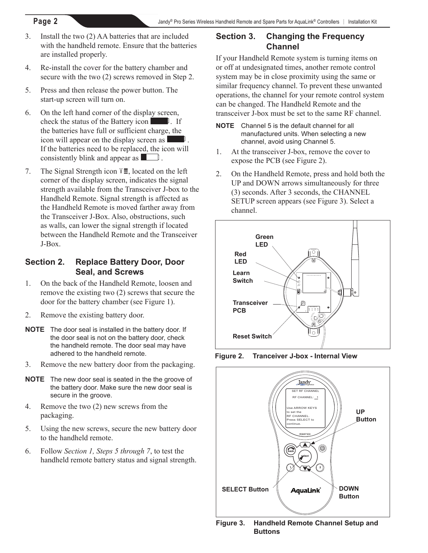- 3. Install the two (2) AA batteries that are included with the handheld remote. Ensure that the batteries are installed properly.
- 4. Re-install the cover for the battery chamber and secure with the two (2) screws removed in Step 2.
- 5. Press and then release the power button. The start-up screen will turn on.
- 6. On the left hand corner of the display screen, check the status of the Battery icon  $\Box$ . If the batteries have full or sufficient charge, the icon will appear on the display screen as If the batteries need to be replaced, the icon will consistently blink and appear as  $\Box$ .
- 7. The Signal Strength icon  $\mathbb{T}\mathbf{I}$ , located on the left corner of the display screen, indicates the signal strength available from the Transceiver J-box to the Handheld Remote. Signal strength is affected as the Handheld Remote is moved farther away from the Transceiver J-Box. Also, obstructions, such as walls, can lower the signal strength if located between the Handheld Remote and the Transceiver J-Box.

#### **Section 2. Replace Battery Door, Door Seal, and Screws**

- 1. On the back of the Handheld Remote, loosen and remove the existing two (2) screws that secure the door for the battery chamber (see Figure 1).
- 2. Remove the existing battery door.
- **NOTE** The door seal is installed in the battery door. If the door seal is not on the battery door, check the handheld remote. The door seal may have adhered to the handheld remote.
- 3. Remove the new battery door from the packaging.
- **NOTE** The new door seal is seated in the the groove of the battery door. Make sure the new door seal is secure in the groove.
- 4. Remove the two (2) new screws from the packaging.
- 5. Using the new screws, secure the new battery door to the handheld remote.
- 6. Follow *Section 1, Steps 5 through 7*, to test the handheld remote battery status and signal strength.

### **Section 3. Changing the Frequency Channel**

If your Handheld Remote system is turning items on or off at undesignated times, another remote control system may be in close proximity using the same or similar frequency channel. To prevent these unwanted operations, the channel for your remote control system can be changed. The Handheld Remote and the transceiver J-box must be set to the same RF channel.

- **NOTE** Channel 5 is the default channel for all manufactured units. When selecting a new channel, avoid using Channel 5.
- 1. At the transceiver J-box, remove the cover to expose the PCB (see Figure 2).
- 2. On the Handheld Remote, press and hold both the UP and DOWN arrows simultaneously for three (3) seconds. After 3 seconds, the CHANNEL SETUP screen appears (see Figure 3). Select a channel.



**Figure 2. Tranceiver J-box - Internal View**



**Figure 3. Handheld Remote Channel Setup and Buttons**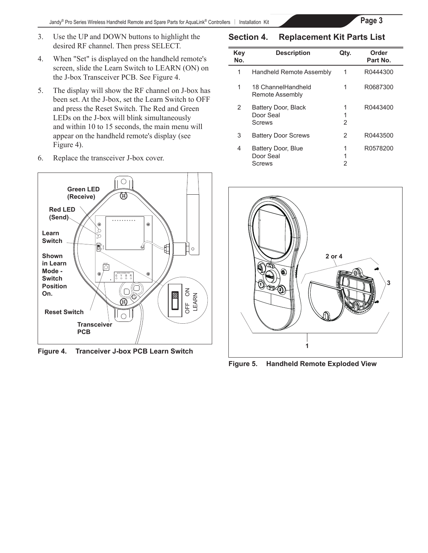$\equiv$ 

- 3. Use the UP and DOWN buttons to highlight the desired RF channel. Then press SELECT.
- 4. When "Set" is displayed on the handheld remote's screen, slide the Learn Switch to LEARN (ON) on the J-box Transceiver PCB. See Figure 4.
- and within 10 to 15 seconds, the main menu will appear on the handheld remote's display (see **On the** and press the Reset Switch. The Red and Green LEDs on the J-box will blink simultaneously 5. The display will show the RF channel on J-box has been set. At the J-box, set the Learn Switch to OFF Figure 4).
- 6. Replace the transceiver J-box cover.



**Figure 4. Tranceiver J-box PCB Learn Switch**

#### **Section 4. Replacement Kit Parts List**

| Key<br>No. | <b>Description</b>                         | Qtv.        | Order<br>Part No. |
|------------|--------------------------------------------|-------------|-------------------|
| 1          | Handheld Remote Assembly                   | 1           | R0444300          |
| 1          | 18 ChannelHandheld<br>Remote Assembly      | 1           | R0687300          |
| 2          | Battery Door, Black<br>Door Seal<br>Screws | 1<br>1<br>2 | R0443400          |
| 3          | <b>Battery Door Screws</b>                 | 2           | R0443500          |
| 4          | Battery Door, Blue<br>Door Seal<br>Screws  | 1<br>1<br>2 | R0578200          |



**Figure 5. Handheld Remote Exploded View**